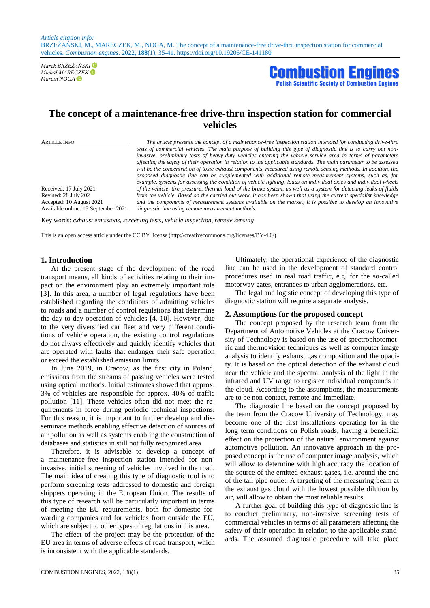*Marek BRZEŻAŃSKI Michał MARECZEK* 



# **The concept of a maintenance-free drive-thru inspection station for commercial vehicles**

Received: 17 July 2021 Revised: 28 July 202 Accepted: 10 August 2021 Available online: 15 September 2021

ARTICLE INFO *The article presents the concept of a maintenance-free inspection station intended for conducting drive-thru tests of commercial vehicles. The main purpose of building this type of diagnostic line is to carry out noninvasive, preliminary tests of heavy-duty vehicles entering the vehicle service area in terms of parameters affecting the safety of their operation in relation to the applicable standards. The main parameter to be assessed will be the concentration of toxic exhaust components, measured using remote sensing methods. In addition, the proposed diagnostic line can be supplemented with additional remote measurement systems, such as, for example, systems for assessing the condition of vehicle lighting, loads on individual axles and individual wheels of the vehicle, tire pressure, thermal load of the brake system, as well as a system for detecting leaks of fluids from the vehicle. Based on the carried out work, it has been shown that using the current specialist knowledge and the components of measurement systems available on the market, it is possible to develop an innovative diagnostic line using remote measurement methods.*

Key words: *exhaust emissions, screening tests, vehicle inspection, remote sensing*

This is an open access article under the CC BY license (http://creativecommons.org/licenses/BY/4.0/)

### **1. Introduction**

At the present stage of the development of the road transport means, all kinds of activities relating to their impact on the environment play an extremely important role [3]. In this area, a number of legal regulations have been established regarding the conditions of admitting vehicles to roads and a number of control regulations that determine the day-to-day operation of vehicles [4, 10]. However, due to the very diversified car fleet and very different conditions of vehicle operation, the existing control regulations do not always effectively and quickly identify vehicles that are operated with faults that endanger their safe operation or exceed the established emission limits.

In June 2019, in Cracow, as the first city in Poland, emissions from the streams of passing vehicles were tested using optical methods. Initial estimates showed that approx. 3% of vehicles are responsible for approx. 40% of traffic pollution [11]. These vehicles often did not meet the requirements in force during periodic technical inspections. For this reason, it is important to further develop and disseminate methods enabling effective detection of sources of air pollution as well as systems enabling the construction of databases and statistics in still not fully recognized area.

Therefore, it is advisable to develop a concept of a maintenance-free inspection station intended for noninvasive, initial screening of vehicles involved in the road. The main idea of creating this type of diagnostic tool is to perform screening tests addressed to domestic and foreign shippers operating in the European Union. The results of this type of research will be particularly important in terms of meeting the EU requirements, both for domestic forwarding companies and for vehicles from outside the EU, which are subject to other types of regulations in this area.

The effect of the project may be the protection of the EU area in terms of adverse effects of road transport, which is inconsistent with the applicable standards.

Ultimately, the operational experience of the diagnostic line can be used in the development of standard control procedures used in real road traffic, e.g. for the so-called motorway gates, entrances to urban agglomerations, etc.

The legal and logistic concept of developing this type of diagnostic station will require a separate analysis.

#### **2. Assumptions for the proposed concept**

The concept proposed by the research team from the Department of Automotive Vehicles at the Cracow University of Technology is based on the use of spectrophotometric and thermovision techniques as well as computer image analysis to identify exhaust gas composition and the opacity. It is based on the optical detection of the exhaust cloud near the vehicle and the spectral analysis of the light in the infrared and UV range to register individual compounds in the cloud. According to the assumptions, the measurements are to be non-contact, remote and immediate.

The diagnostic line based on the concept proposed by the team from the Cracow University of Technology, may become one of the first installations operating for in the long term conditions on Polish roads, having a beneficial effect on the protection of the natural environment against automotive pollution. An innovative approach in the proposed concept is the use of computer image analysis, which will allow to determine with high accuracy the location of the source of the emitted exhaust gases, i.e. around the end of the tail pipe outlet. A targeting of the measuring beam at the exhaust gas cloud with the lowest possible dilution by air, will allow to obtain the most reliable results.

A further goal of building this type of diagnostic line is to conduct preliminary, non-invasive screening tests of commercial vehicles in terms of all parameters affecting the safety of their operation in relation to the applicable standards. The assumed diagnostic procedure will take place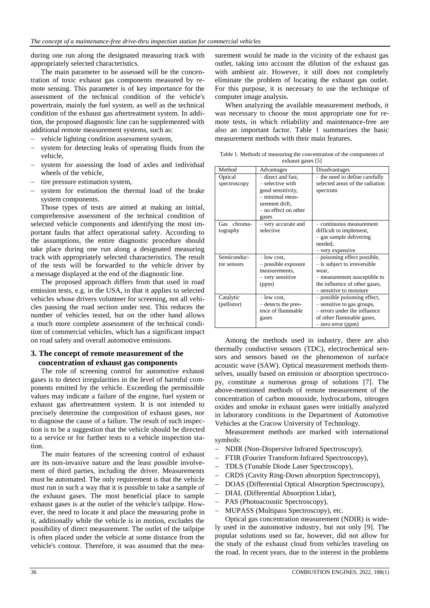during one run along the designated measuring track with appropriately selected characteristics.

The main parameter to be assessed will be the concentration of toxic exhaust gas components measured by remote sensing. This parameter is of key importance for the assessment of the technical condition of the vehicle's powertrain, mainly the fuel system, as well as the technical condition of the exhaust gas aftertreatment system. In addition, the proposed diagnostic line can be supplemented with additional remote measurement systems, such as:

- vehicle lighting condition assessment system,
- system for detecting leaks of operating fluids from the vehicle,
- system for assessing the load of axles and individual wheels of the vehicle,
- tire pressure estimation system,
- system for estimation the thermal load of the brake system components.

Those types of tests are aimed at making an initial, comprehensive assessment of the technical condition of selected vehicle components and identifying the most important faults that affect operational safety. According to the assumptions, the entire diagnostic procedure should take place during one run along a designated measuring track with appropriately selected characteristics. The result of the tests will be forwarded to the vehicle driver by a message displayed at the end of the diagnostic line.

The proposed approach differs from that used in road emission tests, e.g. in the USA, in that it applies to selected vehicles whose drivers volunteer for screening, not all vehicles passing the road section under test. This reduces the number of vehicles tested, but on the other hand allows a much more complete assessment of the technical condition of commercial vehicles, which has a significant impact on road safety and overall automotive emissions.

## **3. The concept of remote measurement of the concentration of exhaust gas components**

The role of screening control for automotive exhaust gases is to detect irregularities in the level of harmful components emitted by the vehicle. Exceeding the permissible values may indicate a failure of the engine, fuel system or exhaust gas aftertreatment system. It is not intended to precisely determine the composition of exhaust gases, nor to diagnose the cause of a failure. The result of such inspection is to be a suggestion that the vehicle should be directed to a service or for further tests to a vehicle inspection station.

The main features of the screening control of exhaust are its non-invasive nature and the least possible involvement of third parties, including the driver. Measurements must be automated. The only requirement is that the vehicle must run in such a way that it is possible to take a sample of the exhaust gases. The most beneficial place to sample exhaust gases is at the outlet of the vehicle's tailpipe. However, the need to locate it and place the measuring probe in it, additionally while the vehicle is in motion, excludes the possibility of direct measurement. The outlet of the tailpipe is often placed under the vehicle at some distance from the vehicle's contour. Therefore, it was assumed that the measurement would be made in the vicinity of the exhaust gas outlet, taking into account the dilution of the exhaust gas with ambient air. However, it still does not completely eliminate the problem of locating the exhaust gas outlet. For this purpose, it is necessary to use the technique of computer image analysis.

When analyzing the available measurement methods, it was necessary to choose the most appropriate one for remote tests, in which reliability and maintenance-free are also an important factor. Table 1 summarizes the basic measurement methods with their main features.

| Table 1. Methods of measuring the concentration of the components of |
|----------------------------------------------------------------------|
| exhaust gases [5]                                                    |

| Method                     | Advantages                                                                                                                        | Disadvantages                                                                                                                                                     |  |
|----------------------------|-----------------------------------------------------------------------------------------------------------------------------------|-------------------------------------------------------------------------------------------------------------------------------------------------------------------|--|
| Optical<br>spectroscopy    | - direct and fast,<br>- selective with<br>good sensitivity,<br>- minimal meas-<br>urement drift,<br>- no effect on other<br>gases | - the need to define carefully<br>selected areas of the radiation<br>spectrum                                                                                     |  |
| Gas chroma-<br>tography    | - very accurate and<br>selective                                                                                                  | - continuous measurement<br>difficult to implement,<br>- gas sample delivering<br>needed.<br>- very expensive                                                     |  |
| Semiconduc-<br>tor sensors | $-$ low cost.<br>- possible exposure<br>measurements,<br>- very sensitive<br>(ppm)                                                | - poisoning effect possible,<br>- is subject to irreversible<br>wear,<br>- measurement susceptible to<br>the influence of other gases,<br>- sensitive to moisture |  |
| Catalytic<br>(pellistor)   | $-$ low cost,<br>- detects the pres-<br>ence of flammable<br>gases                                                                | - possible poisoning effect,<br>- sensitive to gas groups,<br>- errors under the influence<br>of other flammable gases,<br>- zero error (ppm)                     |  |

Among the methods used in industry, there are also thermally conductive sensors (TDC), electrochemical sensors and sensors based on the phenomenon of surface acoustic wave (SAW). Optical measurement methods themselves, usually based on emission or absorption spectroscopy, constitute a numerous group of solutions [7]. The above-mentioned methods of remote measurement of the concentration of carbon monoxide, hydrocarbons, nitrogen oxides and smoke in exhaust gases were initially analyzed in laboratory conditions in the Department of Automotive Vehicles at the Cracow University of Technology.

Measurement methods are marked with international symbols:

- NDIR (Non-Dispersive Infrared Spectroscopy),
- FTIR (Fourier Transform Infrared Spectroscopy),
- TDLS (Tunable Diode Laser Spectroscopy),
- CRDS (Cavity Ring-Down absorption Spectroscopy),
- DOAS (Differential Optical Absorption Spectroscopy),
- DIAL (Differential Absorption Lidar),
- PAS (Photoacoustic Spectroscopy),
- MUPASS (Multipass Spectroscopy), etc.

Optical gas concentration measurement (NDIR) is widely used in the automotive industry, but not only [9]. The popular solutions used so far, however, did not allow for the study of the exhaust cloud from vehicles traveling on the road. In recent years, due to the interest in the problems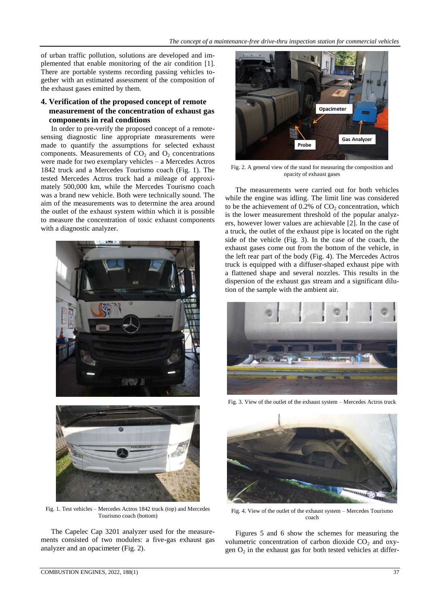of urban traffic pollution, solutions are developed and implemented that enable monitoring of the air condition [1]. There are portable systems recording passing vehicles together with an estimated assessment of the composition of the exhaust gases emitted by them.

## **4. Verification of the proposed concept of remote measurement of the concentration of exhaust gas components in real conditions**

In order to pre-verify the proposed concept of a remotesensing diagnostic line appropriate measurements were made to quantify the assumptions for selected exhaust components. Measurements of  $CO<sub>2</sub>$  and  $O<sub>2</sub>$  concentrations were made for two exemplary vehicles – a Mercedes Actros 1842 truck and a Mercedes Tourismo coach (Fig. 1). The tested Mercedes Actros truck had a mileage of approximately 500,000 km, while the Mercedes Tourismo coach was a brand new vehicle. Both were technically sound. The aim of the measurements was to determine the area around the outlet of the exhaust system within which it is possible to measure the concentration of toxic exhaust components with a diagnostic analyzer.





Fig. 1. Test vehicles – Mercedes Actros 1842 truck (top) and Mercedes Tourismo coach (bottom)

The Capelec Cap 3201 analyzer used for the measurements consisted of two modules: a five-gas exhaust gas analyzer and an opacimeter (Fig. 2).



Fig. 2. A general view of the stand for measuring the composition and opacity of exhaust gases

The measurements were carried out for both vehicles while the engine was idling. The limit line was considered to be the achievement of  $0.2\%$  of  $CO<sub>2</sub>$  concentration, which is the lower measurement threshold of the popular analyzers, however lower values are achievable [2]. In the case of a truck, the outlet of the exhaust pipe is located on the right side of the vehicle (Fig. 3). In the case of the coach, the exhaust gases come out from the bottom of the vehicle, in the left rear part of the body (Fig. 4). The Mercedes Actros truck is equipped with a diffuser-shaped exhaust pipe with a flattened shape and several nozzles. This results in the dispersion of the exhaust gas stream and a significant dilution of the sample with the ambient air.



Fig. 3. View of the outlet of the exhaust system – Mercedes Actros truck



Fig. 4. View of the outlet of the exhaust system – Mercedes Tourismo coach

Figures 5 and 6 show the schemes for measuring the volumetric concentration of carbon dioxide  $CO<sub>2</sub>$  and oxygen  $O_2$  in the exhaust gas for both tested vehicles at differ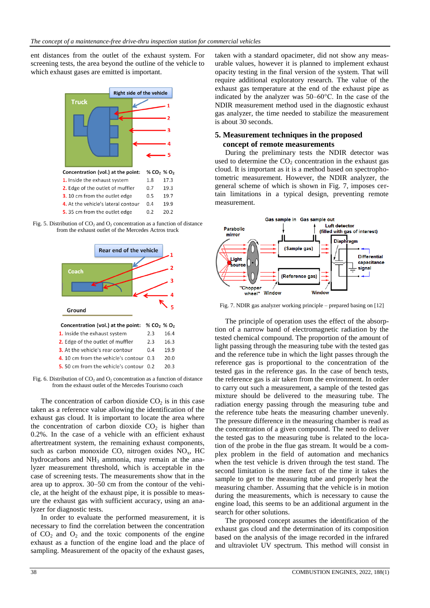ent distances from the outlet of the exhaust system. For screening tests, the area beyond the outline of the vehicle to which exhaust gases are emitted is important.







Fig. 6. Distribution of  $CO<sub>2</sub>$  and  $O<sub>2</sub>$  concentration as a function of distance from the exhaust outlet of the Mercedes Tourismo coach

The concentration of carbon dioxide  $CO<sub>2</sub>$  is in this case taken as a reference value allowing the identification of the exhaust gas cloud. It is important to locate the area where the concentration of carbon dioxide  $CO<sub>2</sub>$  is higher than 0.2%. In the case of a vehicle with an efficient exhaust aftertreatment system, the remaining exhaust components, such as carbon monoxide CO, nitrogen oxides  $NO<sub>x</sub>$ , HC hydrocarbons and  $NH<sub>3</sub>$  ammonia, may remain at the analyzer measurement threshold, which is acceptable in the case of screening tests. The measurements show that in the area up to approx. 30–50 cm from the contour of the vehicle, at the height of the exhaust pipe, it is possible to measure the exhaust gas with sufficient accuracy, using an analyzer for diagnostic tests.

In order to evaluate the performed measurement, it is necessary to find the correlation between the concentration of  $CO<sub>2</sub>$  and  $O<sub>2</sub>$  and the toxic components of the engine exhaust as a function of the engine load and the place of sampling. Measurement of the opacity of the exhaust gases,

taken with a standard opacimeter, did not show any measurable values, however it is planned to implement exhaust opacity testing in the final version of the system. That will require additional exploratory research. The value of the exhaust gas temperature at the end of the exhaust pipe as indicated by the analyzer was 50–60°C. In the case of the NDIR measurement method used in the diagnostic exhaust gas analyzer, the time needed to stabilize the measurement is about 30 seconds.

## **5. Measurement techniques in the proposed concept of remote measurements**

During the preliminary tests the NDIR detector was used to determine the  $CO<sub>2</sub>$  concentration in the exhaust gas cloud. It is important as it is a method based on spectrophotometric measurement. However, the NDIR analyzer, the general scheme of which is shown in Fig. 7, imposes certain limitations in a typical design, preventing remote measurement.



Fig. 7. NDIR gas analyzer working principle – prepared basing on [12]

The principle of operation uses the effect of the absorption of a narrow band of electromagnetic radiation by the tested chemical compound. The proportion of the amount of light passing through the measuring tube with the tested gas and the reference tube in which the light passes through the reference gas is proportional to the concentration of the tested gas in the reference gas. In the case of bench tests, the reference gas is air taken from the environment. In order to carry out such a measurement, a sample of the tested gas mixture should be delivered to the measuring tube. The radiation energy passing through the measuring tube and the reference tube heats the measuring chamber unevenly. The pressure difference in the measuring chamber is read as the concentration of a given compound. The need to deliver the tested gas to the measuring tube is related to the location of the probe in the flue gas stream. It would be a complex problem in the field of automation and mechanics when the test vehicle is driven through the test stand. The second limitation is the mere fact of the time it takes the sample to get to the measuring tube and properly heat the measuring chamber. Assuming that the vehicle is in motion during the measurements, which is necessary to cause the engine load, this seems to be an additional argument in the search for other solutions.

The proposed concept assumes the identification of the exhaust gas cloud and the determination of its composition based on the analysis of the image recorded in the infrared and ultraviolet UV spectrum. This method will consist in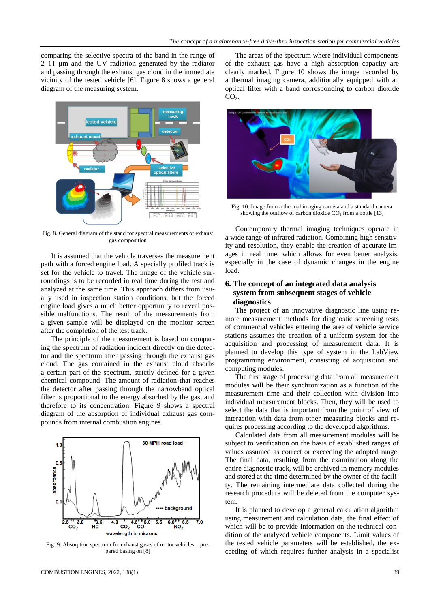comparing the selective spectra of the band in the range of 2–11 µm and the UV radiation generated by the radiator and passing through the exhaust gas cloud in the immediate vicinity of the tested vehicle [6]. Figure 8 shows a general diagram of the measuring system.



Fig. 8. General diagram of the stand for spectral measurements of exhaust gas composition

It is assumed that the vehicle traverses the measurement path with a forced engine load. A specially profiled track is set for the vehicle to travel. The image of the vehicle surroundings is to be recorded in real time during the test and analyzed at the same time. This approach differs from usually used in inspection station conditions, but the forced engine load gives a much better opportunity to reveal possible malfunctions. The result of the measurements from a given sample will be displayed on the monitor screen after the completion of the test track.

The principle of the measurement is based on comparing the spectrum of radiation incident directly on the detector and the spectrum after passing through the exhaust gas cloud. The gas contained in the exhaust cloud absorbs a certain part of the spectrum, strictly defined for a given chemical compound. The amount of radiation that reaches the detector after passing through the narrowband optical filter is proportional to the energy absorbed by the gas, and therefore to its concentration. Figure 9 shows a spectral diagram of the absorption of individual exhaust gas compounds from internal combustion engines.



Fig. 9. Absorption spectrum for exhaust gases of motor vehicles – prepared basing on [8]

COMBUSTION ENGINES, 2022, 188(1) 39

The areas of the spectrum where individual components of the exhaust gas have a high absorption capacity are clearly marked. Figure 10 shows the image recorded by a thermal imaging camera, additionally equipped with an optical filter with a band corresponding to carbon dioxide  $CO<sub>2</sub>$ .



Fig. 10. Image from a thermal imaging camera and a standard camera showing the outflow of carbon dioxide  $CO<sub>2</sub>$  from a bottle [13]

Contemporary thermal imaging techniques operate in a wide range of infrared radiation. Combining high sensitivity and resolution, they enable the creation of accurate images in real time, which allows for even better analysis, especially in the case of dynamic changes in the engine load.

## **6. The concept of an integrated data analysis system from subsequent stages of vehicle diagnostics**

The project of an innovative diagnostic line using remote measurement methods for diagnostic screening tests of commercial vehicles entering the area of vehicle service stations assumes the creation of a uniform system for the acquisition and processing of measurement data. It is planned to develop this type of system in the LabView programming environment, consisting of acquisition and computing modules.

The first stage of processing data from all measurement modules will be their synchronization as a function of the measurement time and their collection with division into individual measurement blocks. Then, they will be used to select the data that is important from the point of view of interaction with data from other measuring blocks and requires processing according to the developed algorithms.

Calculated data from all measurement modules will be subject to verification on the basis of established ranges of values assumed as correct or exceeding the adopted range. The final data, resulting from the examination along the entire diagnostic track, will be archived in memory modules and stored at the time determined by the owner of the facility. The remaining intermediate data collected during the research procedure will be deleted from the computer system.

It is planned to develop a general calculation algorithm using measurement and calculation data, the final effect of which will be to provide information on the technical condition of the analyzed vehicle components. Limit values of the tested vehicle parameters will be established, the exceeding of which requires further analysis in a specialist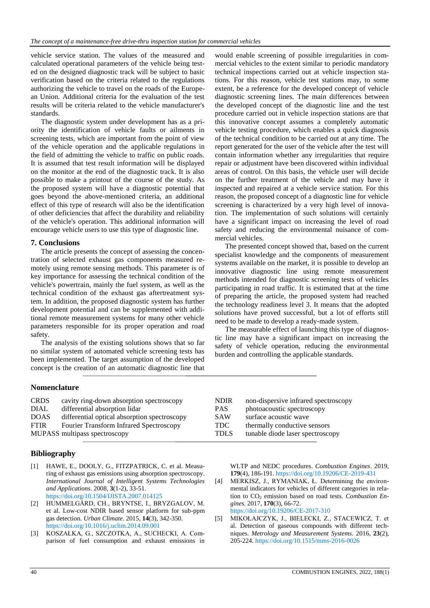vehicle service station. The values of the measured and calculated operational parameters of the vehicle being tested on the designed diagnostic track will be subject to basic verification based on the criteria related to the regulations authorizing the vehicle to travel on the roads of the European Union. Additional criteria for the evaluation of the test results will be criteria related to the vehicle manufacturer's standards.

The diagnostic system under development has as a priority the identification of vehicle faults or ailments in screening tests, which are important from the point of view of the vehicle operation and the applicable regulations in the field of admitting the vehicle to traffic on public roads. It is assumed that test result information will be displayed on the monitor at the end of the diagnostic track. It is also possible to make a printout of the course of the study. As the proposed system will have a diagnostic potential that goes beyond the above-mentioned criteria, an additional effect of this type of research will also be the identification of other deficiencies that affect the durability and reliability of the vehicle's operation. This additional information will encourage vehicle users to use this type of diagnostic line.

## **7. Conclusions**

The article presents the concept of assessing the concentration of selected exhaust gas components measured remotely using remote sensing methods. This parameter is of key importance for assessing the technical condition of the vehicle's powertrain, mainly the fuel system, as well as the technical condition of the exhaust gas aftertreatment system. In addition, the proposed diagnostic system has further development potential and can be supplemented with additional remote measurement systems for many other vehicle parameters responsible for its proper operation and road safety.

The analysis of the existing solutions shows that so far no similar system of automated vehicle screening tests has been implemented. The target assumption of the developed concept is the creation of an automatic diagnostic line that

would enable screening of possible irregularities in commercial vehicles to the extent similar to periodic mandatory technical inspections carried out at vehicle inspection stations. For this reason, vehicle test stations may, to some extent, be a reference for the developed concept of vehicle diagnostic screening lines. The main differences between the developed concept of the diagnostic line and the test procedure carried out in vehicle inspection stations are that this innovative concept assumes a completely automatic vehicle testing procedure, which enables a quick diagnosis of the technical condition to be carried out at any time. The report generated for the user of the vehicle after the test will contain information whether any irregularities that require repair or adjustment have been discovered within individual areas of control. On this basis, the vehicle user will decide on the further treatment of the vehicle and may have it inspected and repaired at a vehicle service station. For this reason, the proposed concept of a diagnostic line for vehicle screening is characterized by a very high level of innovation. The implementation of such solutions will certainly have a significant impact on increasing the level of road safety and reducing the environmental nuisance of commercial vehicles.

The presented concept showed that, based on the current specialist knowledge and the components of measurement systems available on the market, it is possible to develop an innovative diagnostic line using remote measurement methods intended for diagnostic screening tests of vehicles participating in road traffic. It is estimated that at the time of preparing the article, the proposed system had reached the technology readiness level 3. It means that the adopted solutions have proved successful, but a lot of efforts still need to be made to develop a ready-made system.

The measurable effect of launching this type of diagnostic line may have a significant impact on increasing the safety of vehicle operation, reducing the environmental burden and controlling the applicable standards.

## **Nomenclature**

| <b>CRDS</b> | cavity ring-down absorption spectroscopy       | <b>NDIR</b> | non-dispersive infrared spectroscopy |
|-------------|------------------------------------------------|-------------|--------------------------------------|
| <b>DIAL</b> | differential absorption lidar                  | <b>PAS</b>  | photoacoustic spectroscopy           |
| <b>DOAS</b> | differential optical absorption spectroscopy   | <b>SAW</b>  | surface acoustic wave                |
| <b>FTIR</b> | <b>Fourier Transform Infrared Spectroscopy</b> | TDC         | thermally conductive sensors         |
|             | MUPASS multipass spectroscopy                  | <b>TDLS</b> | tunable diode laser spectroscopy     |

# **Bibliography**

- [1] HAWE, E., DOOLY, G., FITZPATRICK, C. et al. Measuring of exhaust gas emissions using absorption spectroscopy. *International Journal of Intelligent Systems Technologies and Applications*. 2008, **3**(1-2), 33-51. https://doi.org/10.1504/IJISTA.2007.014125
- [2] HUMMELGÅRD, CH., BRYNTSE, I., BRYZGALOV, M. et al. Low-cost NDIR based sensor platform for sub-ppm gas detection. *Urban Climate*. 2015, **14**(3), 342-350. https://doi.org/10.1016/j.uclim.2014.09.001
- [3] KOSZAŁKA, G., SZCZOTKA, A., SUCHECKI, A. Comparison of fuel consumption and exhaust emissions in

WLTP and NEDC procedures. *Combustion Engines*. 2019, **179**(4), 186-191. https://doi.org/10.19206/CE-2019-431

- [4] MERKISZ, J., RYMANIAK, Ł. Determining the environmental indicators for vehicles of different categories in relation to CO<sub>2</sub> emission based on road tests. *Combustion Engines*. 2017, **170**(3), 66-72. https://doi.org/10.19206/CE-2017-310
- [5] MIKOŁAJCZYK, J., BIELECKI, Z., STACEWICZ, T. et al. Detection of gaseous compounds with different techniques. *Metrology and Measurement Systems*. 2016, **23**(2), 205-224. https://doi.org/10.1515/mms-2016-0026